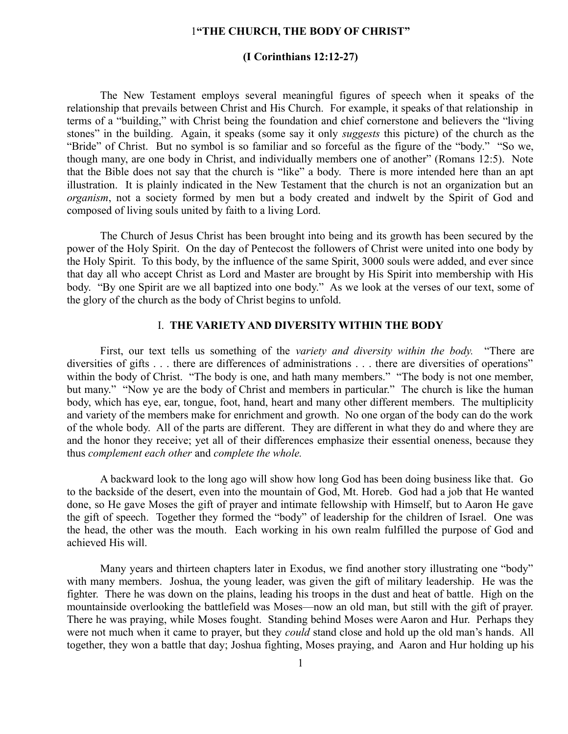# 1**"THE CHURCH, THE BODY OF CHRIST"**

# **(I Corinthians 12:12-27)**

The New Testament employs several meaningful figures of speech when it speaks of the relationship that prevails between Christ and His Church. For example, it speaks of that relationship in terms of a "building," with Christ being the foundation and chief cornerstone and believers the "living stones" in the building. Again, it speaks (some say it only *suggests* this picture) of the church as the "Bride" of Christ. But no symbol is so familiar and so forceful as the figure of the "body." "So we, though many, are one body in Christ, and individually members one of another" (Romans 12:5). Note that the Bible does not say that the church is "like" a body. There is more intended here than an apt illustration. It is plainly indicated in the New Testament that the church is not an organization but an *organism*, not a society formed by men but a body created and indwelt by the Spirit of God and composed of living souls united by faith to a living Lord.

The Church of Jesus Christ has been brought into being and its growth has been secured by the power of the Holy Spirit. On the day of Pentecost the followers of Christ were united into one body by the Holy Spirit. To this body, by the influence of the same Spirit, 3000 souls were added, and ever since that day all who accept Christ as Lord and Master are brought by His Spirit into membership with His body. "By one Spirit are we all baptized into one body." As we look at the verses of our text, some of the glory of the church as the body of Christ begins to unfold.

# I. **THE VARIETY AND DIVERSITY WITHIN THE BODY**

First, our text tells us something of the *variety and diversity within the body.* "There are diversities of gifts . . . there are differences of administrations . . . there are diversities of operations" within the body of Christ. "The body is one, and hath many members." "The body is not one member, but many." "Now ye are the body of Christ and members in particular." The church is like the human body, which has eye, ear, tongue, foot, hand, heart and many other different members. The multiplicity and variety of the members make for enrichment and growth. No one organ of the body can do the work of the whole body. All of the parts are different. They are different in what they do and where they are and the honor they receive; yet all of their differences emphasize their essential oneness, because they thus *complement each other* and *complete the whole.*

A backward look to the long ago will show how long God has been doing business like that. Go to the backside of the desert, even into the mountain of God, Mt. Horeb. God had a job that He wanted done, so He gave Moses the gift of prayer and intimate fellowship with Himself, but to Aaron He gave the gift of speech. Together they formed the "body" of leadership for the children of Israel. One was the head, the other was the mouth. Each working in his own realm fulfilled the purpose of God and achieved His will.

Many years and thirteen chapters later in Exodus, we find another story illustrating one "body" with many members. Joshua, the young leader, was given the gift of military leadership. He was the fighter. There he was down on the plains, leading his troops in the dust and heat of battle. High on the mountainside overlooking the battlefield was Moses—now an old man, but still with the gift of prayer. There he was praying, while Moses fought. Standing behind Moses were Aaron and Hur. Perhaps they were not much when it came to prayer, but they *could* stand close and hold up the old man's hands. All together, they won a battle that day; Joshua fighting, Moses praying, and Aaron and Hur holding up his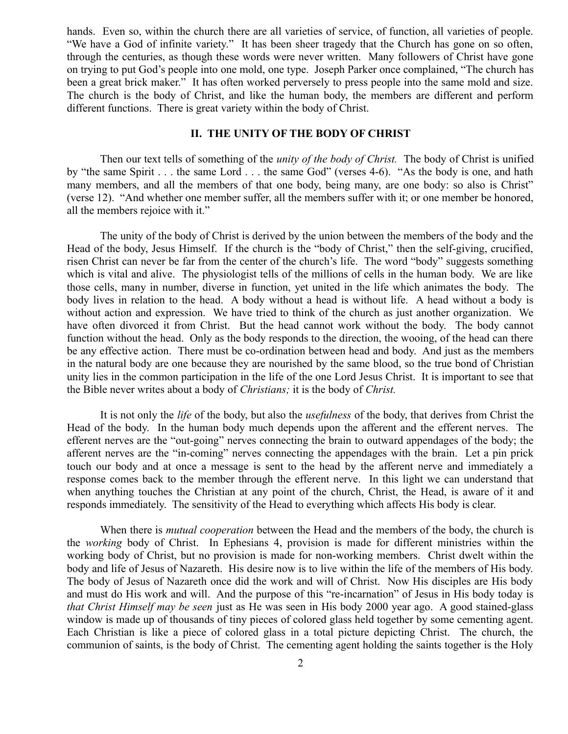hands. Even so, within the church there are all varieties of service, of function, all varieties of people. "We have a God of infinite variety." It has been sheer tragedy that the Church has gone on so often, through the centuries, as though these words were never written. Many followers of Christ have gone on trying to put God's people into one mold, one type. Joseph Parker once complained, "The church has been a great brick maker." It has often worked perversely to press people into the same mold and size. The church is the body of Christ, and like the human body, the members are different and perform different functions. There is great variety within the body of Christ.

#### **II. THE UNITY OF THE BODY OF CHRIST**

Then our text tells of something of the *unity of the body of Christ.* The body of Christ is unified by "the same Spirit . . . the same Lord . . . the same God" (verses 4-6). "As the body is one, and hath many members, and all the members of that one body, being many, are one body: so also is Christ" (verse 12). "And whether one member suffer, all the members suffer with it; or one member be honored, all the members rejoice with it."

The unity of the body of Christ is derived by the union between the members of the body and the Head of the body, Jesus Himself. If the church is the "body of Christ," then the self-giving, crucified, risen Christ can never be far from the center of the church's life. The word "body" suggests something which is vital and alive. The physiologist tells of the millions of cells in the human body. We are like those cells, many in number, diverse in function, yet united in the life which animates the body. The body lives in relation to the head. A body without a head is without life. A head without a body is without action and expression. We have tried to think of the church as just another organization. We have often divorced it from Christ. But the head cannot work without the body. The body cannot function without the head. Only as the body responds to the direction, the wooing, of the head can there be any effective action. There must be co-ordination between head and body. And just as the members in the natural body are one because they are nourished by the same blood, so the true bond of Christian unity lies in the common participation in the life of the one Lord Jesus Christ. It is important to see that the Bible never writes about a body of *Christians;* it is the body of *Christ.*

It is not only the *life* of the body, but also the *usefulness* of the body, that derives from Christ the Head of the body. In the human body much depends upon the afferent and the efferent nerves. The efferent nerves are the "out-going" nerves connecting the brain to outward appendages of the body; the afferent nerves are the "in-coming" nerves connecting the appendages with the brain. Let a pin prick touch our body and at once a message is sent to the head by the afferent nerve and immediately a response comes back to the member through the efferent nerve. In this light we can understand that when anything touches the Christian at any point of the church, Christ, the Head, is aware of it and responds immediately. The sensitivity of the Head to everything which affects His body is clear.

When there is *mutual cooperation* between the Head and the members of the body, the church is the *working* body of Christ. In Ephesians 4, provision is made for different ministries within the working body of Christ, but no provision is made for non-working members. Christ dwelt within the body and life of Jesus of Nazareth. His desire now is to live within the life of the members of His body. The body of Jesus of Nazareth once did the work and will of Christ. Now His disciples are His body and must do His work and will. And the purpose of this "re-incarnation" of Jesus in His body today is *that Christ Himself may be seen* just as He was seen in His body 2000 year ago. A good stained-glass window is made up of thousands of tiny pieces of colored glass held together by some cementing agent. Each Christian is like a piece of colored glass in a total picture depicting Christ. The church, the communion of saints, is the body of Christ. The cementing agent holding the saints together is the Holy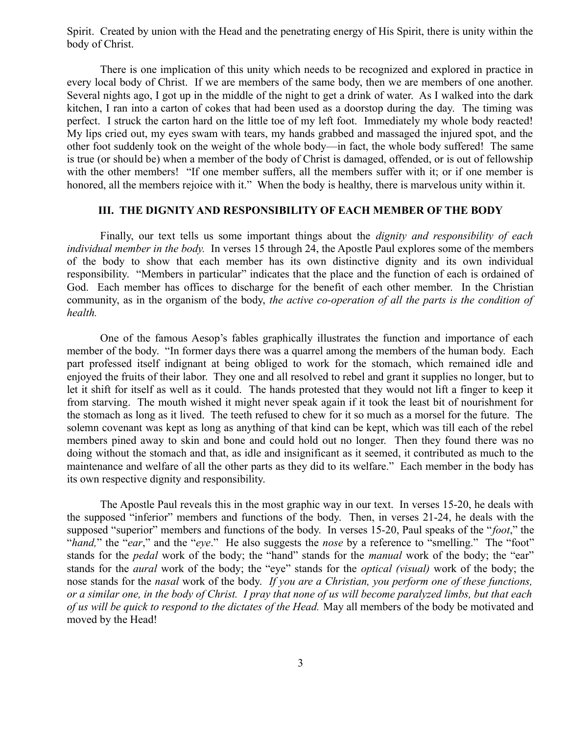Spirit. Created by union with the Head and the penetrating energy of His Spirit, there is unity within the body of Christ.

There is one implication of this unity which needs to be recognized and explored in practice in every local body of Christ. If we are members of the same body, then we are members of one another. Several nights ago, I got up in the middle of the night to get a drink of water. As I walked into the dark kitchen, I ran into a carton of cokes that had been used as a doorstop during the day. The timing was perfect. I struck the carton hard on the little toe of my left foot. Immediately my whole body reacted! My lips cried out, my eyes swam with tears, my hands grabbed and massaged the injured spot, and the other foot suddenly took on the weight of the whole body—in fact, the whole body suffered! The same is true (or should be) when a member of the body of Christ is damaged, offended, or is out of fellowship with the other members! "If one member suffers, all the members suffer with it; or if one member is honored, all the members rejoice with it." When the body is healthy, there is marvelous unity within it.

# **III. THE DIGNITY AND RESPONSIBILITY OF EACH MEMBER OF THE BODY**

Finally, our text tells us some important things about the *dignity and responsibility of each individual member in the body.* In verses 15 through 24, the Apostle Paul explores some of the members of the body to show that each member has its own distinctive dignity and its own individual responsibility. "Members in particular" indicates that the place and the function of each is ordained of God. Each member has offices to discharge for the benefit of each other member. In the Christian community, as in the organism of the body, *the active co-operation of all the parts is the condition of health.*

One of the famous Aesop's fables graphically illustrates the function and importance of each member of the body. "In former days there was a quarrel among the members of the human body. Each part professed itself indignant at being obliged to work for the stomach, which remained idle and enjoyed the fruits of their labor. They one and all resolved to rebel and grant it supplies no longer, but to let it shift for itself as well as it could. The hands protested that they would not lift a finger to keep it from starving. The mouth wished it might never speak again if it took the least bit of nourishment for the stomach as long as it lived. The teeth refused to chew for it so much as a morsel for the future. The solemn covenant was kept as long as anything of that kind can be kept, which was till each of the rebel members pined away to skin and bone and could hold out no longer. Then they found there was no doing without the stomach and that, as idle and insignificant as it seemed, it contributed as much to the maintenance and welfare of all the other parts as they did to its welfare." Each member in the body has its own respective dignity and responsibility.

The Apostle Paul reveals this in the most graphic way in our text. In verses 15-20, he deals with the supposed "inferior" members and functions of the body. Then, in verses 21-24, he deals with the supposed "superior" members and functions of the body. In verses 15-20, Paul speaks of the "*foot*," the "*hand,*" the "*ear*," and the "*eye*." He also suggests the *nose* by a reference to "smelling." The "foot" stands for the *pedal* work of the body; the "hand" stands for the *manual* work of the body; the "ear" stands for the *aural* work of the body; the "eye" stands for the *optical (visual)* work of the body; the nose stands for the *nasal* work of the body. *If you are a Christian, you perform one of these functions, or a similar one, in the body of Christ. I pray that none of us will become paralyzed limbs, but that each of us will be quick to respond to the dictates of the Head.* May all members of the body be motivated and moved by the Head!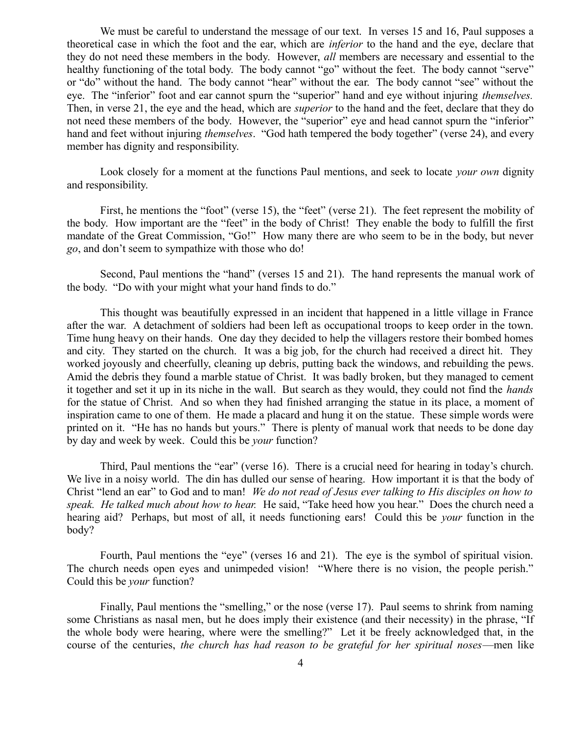We must be careful to understand the message of our text. In verses 15 and 16, Paul supposes a theoretical case in which the foot and the ear, which are *inferior* to the hand and the eye, declare that they do not need these members in the body. However, *all* members are necessary and essential to the healthy functioning of the total body. The body cannot "go" without the feet. The body cannot "serve" or "do" without the hand. The body cannot "hear" without the ear. The body cannot "see" without the eye. The "inferior" foot and ear cannot spurn the "superior" hand and eye without injuring *themselves.* Then, in verse 21, the eye and the head, which are *superior* to the hand and the feet, declare that they do not need these members of the body. However, the "superior" eye and head cannot spurn the "inferior" hand and feet without injuring *themselves*. "God hath tempered the body together" (verse 24), and every member has dignity and responsibility.

Look closely for a moment at the functions Paul mentions, and seek to locate *your own* dignity and responsibility.

First, he mentions the "foot" (verse 15), the "feet" (verse 21). The feet represent the mobility of the body. How important are the "feet" in the body of Christ! They enable the body to fulfill the first mandate of the Great Commission, "Go!" How many there are who seem to be in the body, but never *go*, and don't seem to sympathize with those who do!

Second, Paul mentions the "hand" (verses 15 and 21). The hand represents the manual work of the body. "Do with your might what your hand finds to do."

This thought was beautifully expressed in an incident that happened in a little village in France after the war. A detachment of soldiers had been left as occupational troops to keep order in the town. Time hung heavy on their hands. One day they decided to help the villagers restore their bombed homes and city. They started on the church. It was a big job, for the church had received a direct hit. They worked joyously and cheerfully, cleaning up debris, putting back the windows, and rebuilding the pews. Amid the debris they found a marble statue of Christ. It was badly broken, but they managed to cement it together and set it up in its niche in the wall. But search as they would, they could not find the *hands* for the statue of Christ. And so when they had finished arranging the statue in its place, a moment of inspiration came to one of them. He made a placard and hung it on the statue. These simple words were printed on it. "He has no hands but yours." There is plenty of manual work that needs to be done day by day and week by week. Could this be *your* function?

Third, Paul mentions the "ear" (verse 16). There is a crucial need for hearing in today's church. We live in a noisy world. The din has dulled our sense of hearing. How important it is that the body of Christ "lend an ear" to God and to man! *We do not read of Jesus ever talking to His disciples on how to speak. He talked much about how to hear.* He said, "Take heed how you hear." Does the church need a hearing aid? Perhaps, but most of all, it needs functioning ears! Could this be *your* function in the body?

Fourth, Paul mentions the "eye" (verses 16 and 21). The eye is the symbol of spiritual vision. The church needs open eyes and unimpeded vision! "Where there is no vision, the people perish." Could this be *your* function?

Finally, Paul mentions the "smelling," or the nose (verse 17). Paul seems to shrink from naming some Christians as nasal men, but he does imply their existence (and their necessity) in the phrase, "If the whole body were hearing, where were the smelling?" Let it be freely acknowledged that, in the course of the centuries, *the church has had reason to be grateful for her spiritual noses*—men like